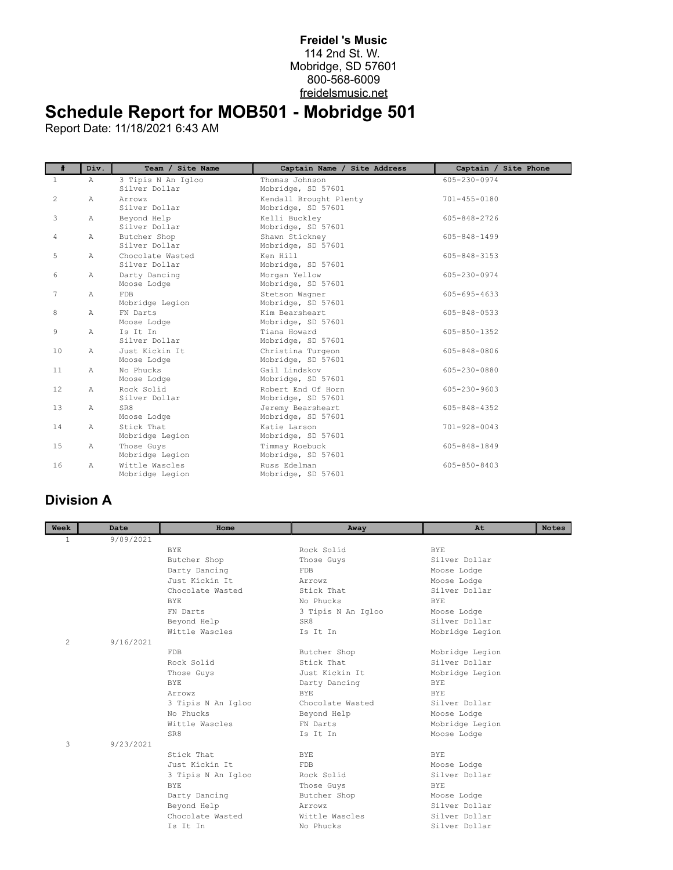## **Freidel 's Music** 114 2nd St. W. Mobridge, SD 57601 800-568-6009 freidelsmusic.net

## **Schedule Report for MOB501 - Mobridge 501**

Report Date: 11/18/2021 6:43 AM

| #              | Div.           | Team / Site Name                    | Captain Name / Site Address                  | Captain / Site Phone |
|----------------|----------------|-------------------------------------|----------------------------------------------|----------------------|
| $\mathbf{1}$   | $\mathbb{A}$   | 3 Tipis N An Igloo<br>Silver Dollar | Thomas Johnson<br>Mobridge, SD 57601         | 605-230-0974         |
| $\overline{c}$ | $\mathbb{A}$   | Arrowz<br>Silver Dollar             | Kendall Brought Plenty<br>Mobridge, SD 57601 | $701 - 455 - 0180$   |
| 3              | $\mathbb{A}$   | Beyond Help<br>Silver Dollar        | Kelli Buckley<br>Mobridge, SD 57601          | 605-848-2726         |
| 4              | Α              | Butcher Shop<br>Silver Dollar       | Shawn Stickney<br>Mobridge, SD 57601         | 605-848-1499         |
| 5              | $\mathbb{A}$   | Chocolate Wasted<br>Silver Dollar   | Ken Hill<br>Mobridge, SD 57601               | 605-848-3153         |
| 6              | $\mathbb{A}$   | Darty Dancing<br>Moose Lodge        | Morgan Yellow<br>Mobridge, SD 57601          | 605-230-0974         |
| 7              | $\mathbb{A}$   | <b>FDB</b><br>Mobridge Legion       | Stetson Wagner<br>Mobridge, SD 57601         | 605-695-4633         |
| 8              | $\mathbb{A}$   | FN Darts<br>Moose Lodge             | Kim Bearsheart<br>Mobridge, SD 57601         | $605 - 848 - 0533$   |
| 9              | $\mathbb{A}$   | Is It In<br>Silver Dollar           | Tiana Howard<br>Mobridge, SD 57601           | 605-850-1352         |
| 10             | $\mathbb{A}$   | Just Kickin It.<br>Moose Lodge      | Christina Turgeon<br>Mobridge, SD 57601      | 605-848-0806         |
| 11             | $\mathbb{A}$   | No Phucks<br>Moose Lodge            | Gail Lindskov<br>Mobridge, SD 57601          | $605 - 230 - 0880$   |
| 12             | $\mathbb{A}$   | Rock Solid<br>Silver Dollar         | Robert End Of Horn<br>Mobridge, SD 57601     | 605-230-9603         |
| 13             | $\mathbb{A}$   | SR8<br>Moose Lodge                  | Jeremy Bearsheart<br>Mobridge, SD 57601      | 605-848-4352         |
| 14             | $\mathbb{A}$   | Stick That<br>Mobridge Legion       | Katie Larson<br>Mobridge, SD 57601           | $701 - 928 - 0043$   |
| 15             | $\mathbb{A}$   | Those Guys<br>Mobridge Legion       | Timmay Roebuck<br>Mobridge, SD 57601         | 605-848-1849         |
| 16             | $\overline{A}$ | Wittle Wascles<br>Mobridge Legion   | Russ Edelman<br>Mobridge, SD 57601           | 605-850-8403         |

## **Division A**

| Week           | Date      | Home               | Away               | At              | <b>Notes</b> |
|----------------|-----------|--------------------|--------------------|-----------------|--------------|
| 1              | 9/09/2021 |                    |                    |                 |              |
|                |           | <b>BYE</b>         | Rock Solid         | <b>BYE</b>      |              |
|                |           | Butcher Shop       | Those Guys         | Silver Dollar   |              |
|                |           | Darty Dancing      | <b>FDB</b>         | Moose Lodge     |              |
|                |           | Just Kickin It.    | Arrowz             | Moose Lodge     |              |
|                |           | Chocolate Wasted   | Stick That         | Silver Dollar   |              |
|                |           | <b>BYE</b>         | No Phucks          | <b>BYE</b>      |              |
|                |           | FN Darts           | 3 Tipis N An Igloo | Moose Lodge     |              |
|                |           | Beyond Help        | SR8                | Silver Dollar   |              |
|                |           | Wittle Wascles     | Is It In           | Mobridge Legion |              |
| $\overline{2}$ | 9/16/2021 |                    |                    |                 |              |
|                |           | <b>FDB</b>         | Butcher Shop       | Mobridge Legion |              |
|                |           | Rock Solid         | Stick That         | Silver Dollar   |              |
|                |           | Those Guys         | Just Kickin It     | Mobridge Legion |              |
|                |           | <b>BYE</b>         | Darty Dancing      | <b>BYE</b>      |              |
|                |           | Arrowz             | BYE.               | <b>BYE</b>      |              |
|                |           | 3 Tipis N An Igloo | Chocolate Wasted   | Silver Dollar   |              |
|                |           | No Phucks          | Beyond Help        | Moose Lodge     |              |
|                |           | Wittle Wascles     | FN Darts           | Mobridge Legion |              |
|                |           | SR8                | Is It In           | Moose Lodge     |              |
| 3              | 9/23/2021 |                    |                    |                 |              |
|                |           | Stick That         | <b>BYE</b>         | <b>BYE</b>      |              |
|                |           | Just Kickin It     | FDB                | Moose Lodge     |              |
|                |           | 3 Tipis N An Igloo | Rock Solid         | Silver Dollar   |              |
|                |           | <b>BYE</b>         | Those Guys         | <b>BYE</b>      |              |
|                |           | Darty Dancing      | Butcher Shop       | Moose Lodge     |              |
|                |           | Beyond Help        | Arrowz             | Silver Dollar   |              |
|                |           | Chocolate Wasted   | Wittle Wascles     | Silver Dollar   |              |
|                |           | Is It In           | No Phucks          | Silver Dollar   |              |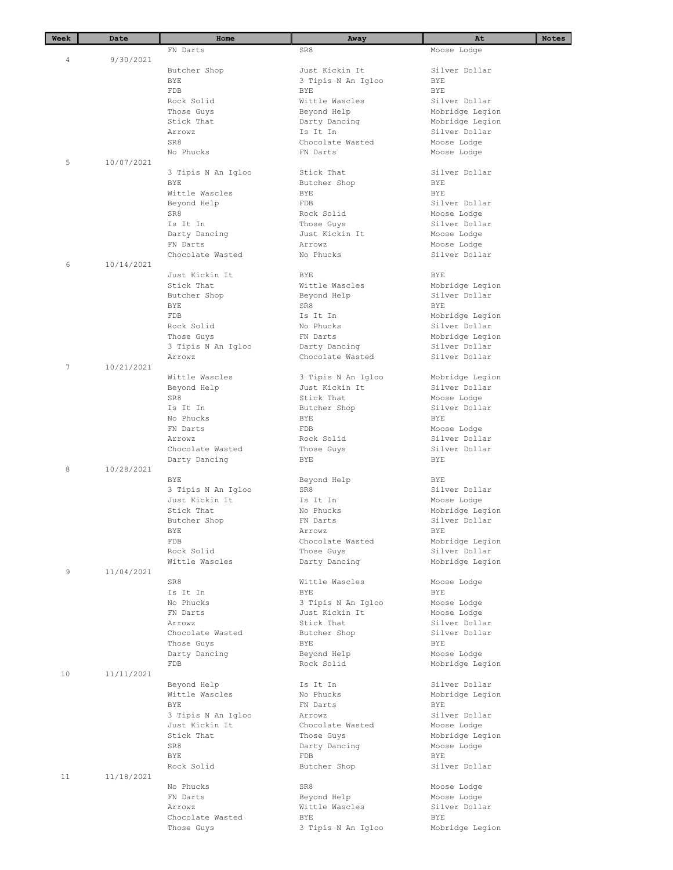| Week | Date       | Home                             | Away                      | At                               | <b>Notes</b> |
|------|------------|----------------------------------|---------------------------|----------------------------------|--------------|
|      |            | FN Darts                         | SR8                       | Moose Lodge                      |              |
| 4    | 9/30/2021  |                                  |                           |                                  |              |
|      |            | Butcher Shop                     | Just Kickin It            | Silver Dollar                    |              |
|      |            | <b>BYE</b>                       | 3 Tipis N An Igloo        | BYE                              |              |
|      |            | FDB                              | BYE                       | <b>BYE</b>                       |              |
|      |            | Rock Solid                       | Wittle Wascles            | Silver Dollar                    |              |
|      |            | Those Guys                       | Beyond Help               | Mobridge Legion                  |              |
|      |            | Stick That<br>Arrowz             | Darty Dancing<br>Is It In | Mobridge Legion<br>Silver Dollar |              |
|      |            | SR8                              | Chocolate Wasted          | Moose Lodge                      |              |
|      |            | No Phucks                        | FN Darts                  | Moose Lodge                      |              |
| 5    | 10/07/2021 |                                  |                           |                                  |              |
|      |            | 3 Tipis N An Igloo               | Stick That                | Silver Dollar                    |              |
|      |            | <b>BYE</b>                       | Butcher Shop              | BYE                              |              |
|      |            | Wittle Wascles                   | BYE                       | <b>BYE</b>                       |              |
|      |            | Beyond Help                      | <b>FDB</b>                | Silver Dollar                    |              |
|      |            | SR8                              | Rock Solid                | Moose Lodge                      |              |
|      |            | Is It In                         | Those Guys                | Silver Dollar                    |              |
|      |            | Darty Dancing                    | Just Kickin It            | Moose Lodge                      |              |
|      |            | FN Darts                         | Arrowz                    | Moose Lodge                      |              |
|      |            | Chocolate Wasted                 | No Phucks                 | Silver Dollar                    |              |
| 6    | 10/14/2021 |                                  |                           |                                  |              |
|      |            | Just Kickin It                   | <b>BYE</b>                | <b>BYE</b>                       |              |
|      |            | Stick That                       | Wittle Wascles            | Mobridge Legion                  |              |
|      |            | Butcher Shop                     | Beyond Help               | Silver Dollar                    |              |
|      |            | BYE                              | SR8<br>Is It In           | <b>BYE</b>                       |              |
|      |            | FDB                              |                           | Mobridge Legion<br>Silver Dollar |              |
|      |            | Rock Solid                       | No Phucks                 |                                  |              |
|      |            | Those Guys<br>3 Tipis N An Igloo | FN Darts<br>Darty Dancing | Mobridge Legion<br>Silver Dollar |              |
|      |            | Arrowz                           | Chocolate Wasted          | Silver Dollar                    |              |
| 7    | 10/21/2021 |                                  |                           |                                  |              |
|      |            | Wittle Wascles                   | 3 Tipis N An Igloo        | Mobridge Legion                  |              |
|      |            | Beyond Help                      | Just Kickin It            | Silver Dollar                    |              |
|      |            | SR8                              | Stick That                | Moose Lodge                      |              |
|      |            | Is It In                         | Butcher Shop              | Silver Dollar                    |              |
|      |            | No Phucks                        | BYE                       | BYE                              |              |
|      |            | FN Darts                         | <b>FDB</b>                | Moose Lodge                      |              |
|      |            | Arrowz                           | Rock Solid                | Silver Dollar                    |              |
|      |            | Chocolate Wasted                 | Those Guys                | Silver Dollar                    |              |
|      |            | Darty Dancing                    | BYE                       | BYE                              |              |
| 8    | 10/28/2021 |                                  |                           |                                  |              |
|      |            | BYE                              | Beyond Help               | <b>BYE</b>                       |              |
|      |            | 3 Tipis N An Igloo               | SR8<br>Is It In           | Silver Dollar                    |              |
|      |            | Just Kickin It<br>Stick That     | No Phucks                 | Moose Lodge<br>Mobridge Legion   |              |
|      |            | Butcher Shop                     | FN Darts                  | Silver Dollar                    |              |
|      |            | BYE                              | Arrowz                    | BYE                              |              |
|      |            | FDB                              | Chocolate Wasted          | Mobridge Legion                  |              |
|      |            | Rock Solid                       | Those Guys                | Silver Dollar                    |              |
|      |            | Wittle Wascles                   | Darty Dancing             | Mobridge Legion                  |              |
| 9    | 11/04/2021 |                                  |                           |                                  |              |
|      |            | SR8                              | Wittle Wascles            | Moose Lodge                      |              |
|      |            | Is It In                         | <b>BYE</b>                | BYE                              |              |
|      |            | No Phucks                        | 3 Tipis N An Igloo        | Moose Lodge                      |              |
|      |            | FN Darts                         | Just Kickin It            | Moose Lodge                      |              |
|      |            | Arrowz                           | Stick That                | Silver Dollar                    |              |
|      |            | Chocolate Wasted                 | Butcher Shop              | Silver Dollar                    |              |
|      |            | Those Guys                       | BYE                       | <b>BYE</b>                       |              |
|      |            | Darty Dancing                    | Beyond Help               | Moose Lodge                      |              |
|      |            | FDB                              | Rock Solid                | Mobridge Legion                  |              |
| 10   | 11/11/2021 |                                  | Is It In                  | Silver Dollar                    |              |
|      |            | Beyond Help<br>Wittle Wascles    | No Phucks                 | Mobridge Legion                  |              |
|      |            | <b>BYE</b>                       | FN Darts                  | <b>BYE</b>                       |              |
|      |            | 3 Tipis N An Igloo               | Arrowz                    | Silver Dollar                    |              |
|      |            | Just Kickin It                   | Chocolate Wasted          | Moose Lodge                      |              |
|      |            | Stick That                       | Those Guys                | Mobridge Legion                  |              |
|      |            | SR8                              | Darty Dancing             | Moose Lodge                      |              |
|      |            | BYE                              | FDB                       | BYE                              |              |
|      |            | Rock Solid                       | Butcher Shop              | Silver Dollar                    |              |
| 11   | 11/18/2021 |                                  |                           |                                  |              |
|      |            | No Phucks                        | SR8                       | Moose Lodge                      |              |
|      |            | FN Darts                         | Beyond Help               | Moose Lodge                      |              |
|      |            | Arrowz                           | Wittle Wascles            | Silver Dollar                    |              |
|      |            | Chocolate Wasted                 | BYE                       | BYE                              |              |
|      |            | Those Guys                       | 3 Tipis N An Igloo        | Mobridge Legion                  |              |